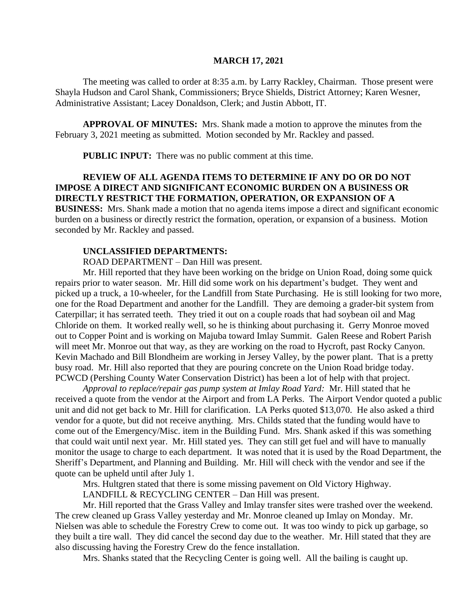### **MARCH 17, 2021**

The meeting was called to order at 8:35 a.m. by Larry Rackley, Chairman. Those present were Shayla Hudson and Carol Shank, Commissioners; Bryce Shields, District Attorney; Karen Wesner, Administrative Assistant; Lacey Donaldson, Clerk; and Justin Abbott, IT.

**APPROVAL OF MINUTES:** Mrs. Shank made a motion to approve the minutes from the February 3, 2021 meeting as submitted. Motion seconded by Mr. Rackley and passed.

 **PUBLIC INPUT:** There was no public comment at this time.

# **REVIEW OF ALL AGENDA ITEMS TO DETERMINE IF ANY DO OR DO NOT IMPOSE A DIRECT AND SIGNIFICANT ECONOMIC BURDEN ON A BUSINESS OR DIRECTLY RESTRICT THE FORMATION, OPERATION, OR EXPANSION OF A**

**BUSINESS:** Mrs. Shank made a motion that no agenda items impose a direct and significant economic burden on a business or directly restrict the formation, operation, or expansion of a business. Motion seconded by Mr. Rackley and passed.

#### **UNCLASSIFIED DEPARTMENTS:**

ROAD DEPARTMENT – Dan Hill was present.

Mr. Hill reported that they have been working on the bridge on Union Road, doing some quick repairs prior to water season. Mr. Hill did some work on his department's budget. They went and picked up a truck, a 10-wheeler, for the Landfill from State Purchasing. He is still looking for two more, one for the Road Department and another for the Landfill. They are demoing a grader-bit system from Caterpillar; it has serrated teeth. They tried it out on a couple roads that had soybean oil and Mag Chloride on them. It worked really well, so he is thinking about purchasing it. Gerry Monroe moved out to Copper Point and is working on Majuba toward Imlay Summit. Galen Reese and Robert Parish will meet Mr. Monroe out that way, as they are working on the road to Hycroft, past Rocky Canyon. Kevin Machado and Bill Blondheim are working in Jersey Valley, by the power plant. That is a pretty busy road. Mr. Hill also reported that they are pouring concrete on the Union Road bridge today. PCWCD (Pershing County Water Conservation District) has been a lot of help with that project.

*Approval to replace/repair gas pump system at Imlay Road Yard:* Mr. Hill stated that he received a quote from the vendor at the Airport and from LA Perks. The Airport Vendor quoted a public unit and did not get back to Mr. Hill for clarification. LA Perks quoted \$13,070. He also asked a third vendor for a quote, but did not receive anything. Mrs. Childs stated that the funding would have to come out of the Emergency/Misc. item in the Building Fund. Mrs. Shank asked if this was something that could wait until next year. Mr. Hill stated yes. They can still get fuel and will have to manually monitor the usage to charge to each department. It was noted that it is used by the Road Department, the Sheriff's Department, and Planning and Building. Mr. Hill will check with the vendor and see if the quote can be upheld until after July 1.

Mrs. Hultgren stated that there is some missing pavement on Old Victory Highway.

LANDFILL & RECYCLING CENTER – Dan Hill was present.

Mr. Hill reported that the Grass Valley and Imlay transfer sites were trashed over the weekend. The crew cleaned up Grass Valley yesterday and Mr. Monroe cleaned up Imlay on Monday. Mr. Nielsen was able to schedule the Forestry Crew to come out. It was too windy to pick up garbage, so they built a tire wall. They did cancel the second day due to the weather. Mr. Hill stated that they are also discussing having the Forestry Crew do the fence installation.

Mrs. Shanks stated that the Recycling Center is going well. All the bailing is caught up.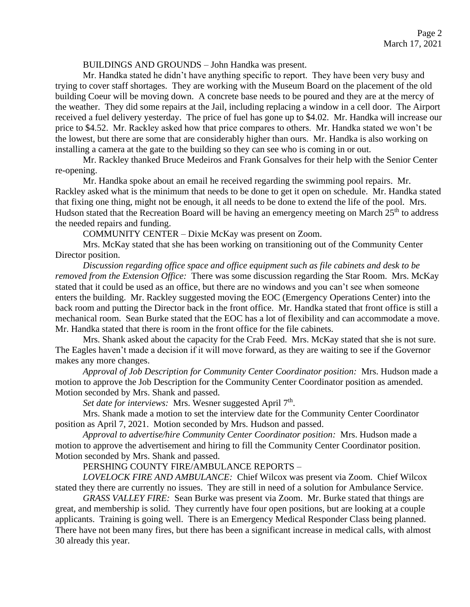#### BUILDINGS AND GROUNDS – John Handka was present.

Mr. Handka stated he didn't have anything specific to report. They have been very busy and trying to cover staff shortages. They are working with the Museum Board on the placement of the old building Coeur will be moving down. A concrete base needs to be poured and they are at the mercy of the weather. They did some repairs at the Jail, including replacing a window in a cell door. The Airport received a fuel delivery yesterday. The price of fuel has gone up to \$4.02. Mr. Handka will increase our price to \$4.52. Mr. Rackley asked how that price compares to others. Mr. Handka stated we won't be the lowest, but there are some that are considerably higher than ours. Mr. Handka is also working on installing a camera at the gate to the building so they can see who is coming in or out.

Mr. Rackley thanked Bruce Medeiros and Frank Gonsalves for their help with the Senior Center re-opening.

Mr. Handka spoke about an email he received regarding the swimming pool repairs. Mr. Rackley asked what is the minimum that needs to be done to get it open on schedule. Mr. Handka stated that fixing one thing, might not be enough, it all needs to be done to extend the life of the pool. Mrs. Hudson stated that the Recreation Board will be having an emergency meeting on March  $25<sup>th</sup>$  to address the needed repairs and funding.

COMMUNITY CENTER – Dixie McKay was present on Zoom.

Mrs. McKay stated that she has been working on transitioning out of the Community Center Director position.

*Discussion regarding office space and office equipment such as file cabinets and desk to be removed from the Extension Office:* There was some discussion regarding the Star Room. Mrs. McKay stated that it could be used as an office, but there are no windows and you can't see when someone enters the building. Mr. Rackley suggested moving the EOC (Emergency Operations Center) into the back room and putting the Director back in the front office. Mr. Handka stated that front office is still a mechanical room. Sean Burke stated that the EOC has a lot of flexibility and can accommodate a move. Mr. Handka stated that there is room in the front office for the file cabinets.

Mrs. Shank asked about the capacity for the Crab Feed. Mrs. McKay stated that she is not sure. The Eagles haven't made a decision if it will move forward, as they are waiting to see if the Governor makes any more changes.

*Approval of Job Description for Community Center Coordinator position:* Mrs. Hudson made a motion to approve the Job Description for the Community Center Coordinator position as amended. Motion seconded by Mrs. Shank and passed.

Set date for interviews: Mrs. Wesner suggested April 7<sup>th</sup>.

Mrs. Shank made a motion to set the interview date for the Community Center Coordinator position as April 7, 2021. Motion seconded by Mrs. Hudson and passed.

*Approval to advertise/hire Community Center Coordinator position:* Mrs. Hudson made a motion to approve the advertisement and hiring to fill the Community Center Coordinator position. Motion seconded by Mrs. Shank and passed.

## PERSHING COUNTY FIRE/AMBULANCE REPORTS –

*LOVELOCK FIRE AND AMBULANCE:* Chief Wilcox was present via Zoom. Chief Wilcox stated they there are currently no issues. They are still in need of a solution for Ambulance Service.

*GRASS VALLEY FIRE:* Sean Burke was present via Zoom. Mr. Burke stated that things are great, and membership is solid. They currently have four open positions, but are looking at a couple applicants. Training is going well. There is an Emergency Medical Responder Class being planned. There have not been many fires, but there has been a significant increase in medical calls, with almost 30 already this year.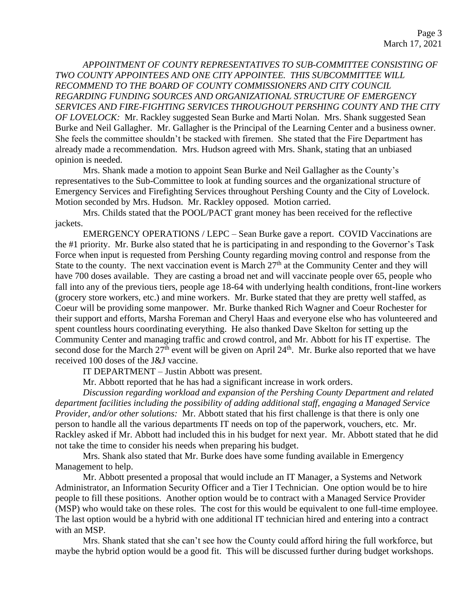*APPOINTMENT OF COUNTY REPRESENTATIVES TO SUB-COMMITTEE CONSISTING OF TWO COUNTY APPOINTEES AND ONE CITY APPOINTEE. THIS SUBCOMMITTEE WILL RECOMMEND TO THE BOARD OF COUNTY COMMISSIONERS AND CITY COUNCIL REGARDING FUNDING SOURCES AND ORGANIZATIONAL STRUCTURE OF EMERGENCY SERVICES AND FIRE-FIGHTING SERVICES THROUGHOUT PERSHING COUNTY AND THE CITY OF LOVELOCK:* Mr. Rackley suggested Sean Burke and Marti Nolan. Mrs. Shank suggested Sean Burke and Neil Gallagher. Mr. Gallagher is the Principal of the Learning Center and a business owner. She feels the committee shouldn't be stacked with firemen. She stated that the Fire Department has already made a recommendation. Mrs. Hudson agreed with Mrs. Shank, stating that an unbiased opinion is needed.

Mrs. Shank made a motion to appoint Sean Burke and Neil Gallagher as the County's representatives to the Sub-Committee to look at funding sources and the organizational structure of Emergency Services and Firefighting Services throughout Pershing County and the City of Lovelock. Motion seconded by Mrs. Hudson. Mr. Rackley opposed. Motion carried.

Mrs. Childs stated that the POOL/PACT grant money has been received for the reflective jackets.

EMERGENCY OPERATIONS / LEPC – Sean Burke gave a report. COVID Vaccinations are the #1 priority. Mr. Burke also stated that he is participating in and responding to the Governor's Task Force when input is requested from Pershing County regarding moving control and response from the State to the county. The next vaccination event is March  $27<sup>th</sup>$  at the Community Center and they will have 700 doses available. They are casting a broad net and will vaccinate people over 65, people who fall into any of the previous tiers, people age 18-64 with underlying health conditions, front-line workers (grocery store workers, etc.) and mine workers. Mr. Burke stated that they are pretty well staffed, as Coeur will be providing some manpower. Mr. Burke thanked Rich Wagner and Coeur Rochester for their support and efforts, Marsha Foreman and Cheryl Haas and everyone else who has volunteered and spent countless hours coordinating everything. He also thanked Dave Skelton for setting up the Community Center and managing traffic and crowd control, and Mr. Abbott for his IT expertise. The second dose for the March  $27<sup>th</sup>$  event will be given on April  $24<sup>th</sup>$ . Mr. Burke also reported that we have received 100 doses of the J&J vaccine.

IT DEPARTMENT – Justin Abbott was present.

Mr. Abbott reported that he has had a significant increase in work orders.

*Discussion regarding workload and expansion of the Pershing County Department and related department facilities including the possibility of adding additional staff, engaging a Managed Service Provider, and/or other solutions:* Mr. Abbott stated that his first challenge is that there is only one person to handle all the various departments IT needs on top of the paperwork, vouchers, etc. Mr. Rackley asked if Mr. Abbott had included this in his budget for next year. Mr. Abbott stated that he did not take the time to consider his needs when preparing his budget.

Mrs. Shank also stated that Mr. Burke does have some funding available in Emergency Management to help.

Mr. Abbott presented a proposal that would include an IT Manager, a Systems and Network Administrator, an Information Security Officer and a Tier I Technician. One option would be to hire people to fill these positions. Another option would be to contract with a Managed Service Provider (MSP) who would take on these roles. The cost for this would be equivalent to one full-time employee. The last option would be a hybrid with one additional IT technician hired and entering into a contract with an MSP.

Mrs. Shank stated that she can't see how the County could afford hiring the full workforce, but maybe the hybrid option would be a good fit. This will be discussed further during budget workshops.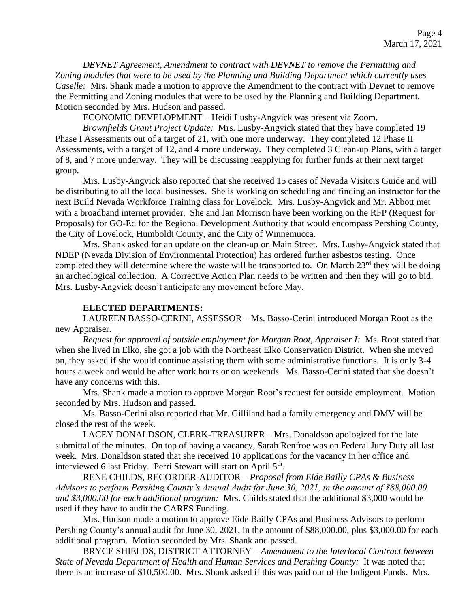*DEVNET Agreement, Amendment to contract with DEVNET to remove the Permitting and Zoning modules that were to be used by the Planning and Building Department which currently uses Caselle:* Mrs. Shank made a motion to approve the Amendment to the contract with Devnet to remove the Permitting and Zoning modules that were to be used by the Planning and Building Department. Motion seconded by Mrs. Hudson and passed.

ECONOMIC DEVELOPMENT – Heidi Lusby-Angvick was present via Zoom.

*Brownfields Grant Project Update:* Mrs. Lusby-Angvick stated that they have completed 19 Phase I Assessments out of a target of 21, with one more underway. They completed 12 Phase II Assessments, with a target of 12, and 4 more underway. They completed 3 Clean-up Plans, with a target of 8, and 7 more underway. They will be discussing reapplying for further funds at their next target group.

Mrs. Lusby-Angvick also reported that she received 15 cases of Nevada Visitors Guide and will be distributing to all the local businesses. She is working on scheduling and finding an instructor for the next Build Nevada Workforce Training class for Lovelock. Mrs. Lusby-Angvick and Mr. Abbott met with a broadband internet provider. She and Jan Morrison have been working on the RFP (Request for Proposals) for GO-Ed for the Regional Development Authority that would encompass Pershing County, the City of Lovelock, Humboldt County, and the City of Winnemucca.

Mrs. Shank asked for an update on the clean-up on Main Street. Mrs. Lusby-Angvick stated that NDEP (Nevada Division of Environmental Protection) has ordered further asbestos testing. Once completed they will determine where the waste will be transported to. On March  $23<sup>rd</sup>$  they will be doing an archeological collection. A Corrective Action Plan needs to be written and then they will go to bid. Mrs. Lusby-Angvick doesn't anticipate any movement before May.

#### **ELECTED DEPARTMENTS:**

LAUREEN BASSO-CERINI, ASSESSOR – Ms. Basso-Cerini introduced Morgan Root as the new Appraiser.

*Request for approval of outside employment for Morgan Root, Appraiser I:* Ms. Root stated that when she lived in Elko, she got a job with the Northeast Elko Conservation District. When she moved on, they asked if she would continue assisting them with some administrative functions. It is only 3-4 hours a week and would be after work hours or on weekends. Ms. Basso-Cerini stated that she doesn't have any concerns with this.

Mrs. Shank made a motion to approve Morgan Root's request for outside employment. Motion seconded by Mrs. Hudson and passed.

Ms. Basso-Cerini also reported that Mr. Gilliland had a family emergency and DMV will be closed the rest of the week.

LACEY DONALDSON, CLERK-TREASURER – Mrs. Donaldson apologized for the late submittal of the minutes. On top of having a vacancy, Sarah Renfroe was on Federal Jury Duty all last week. Mrs. Donaldson stated that she received 10 applications for the vacancy in her office and interviewed 6 last Friday. Perri Stewart will start on April 5<sup>th</sup>.

RENE CHILDS, RECORDER-AUDITOR – *Proposal from Eide Bailly CPAs & Business Advisors to perform Pershing County's Annual Audit for June 30, 2021, in the amount of \$88,000.00 and \$3,000.00 for each additional program:* Mrs. Childs stated that the additional \$3,000 would be used if they have to audit the CARES Funding.

Mrs. Hudson made a motion to approve Eide Bailly CPAs and Business Advisors to perform Pershing County's annual audit for June 30, 2021, in the amount of \$88,000.00, plus \$3,000.00 for each additional program. Motion seconded by Mrs. Shank and passed.

BRYCE SHIELDS, DISTRICT ATTORNEY – *Amendment to the Interlocal Contract between State of Nevada Department of Health and Human Services and Pershing County:* It was noted that there is an increase of \$10,500.00. Mrs. Shank asked if this was paid out of the Indigent Funds. Mrs.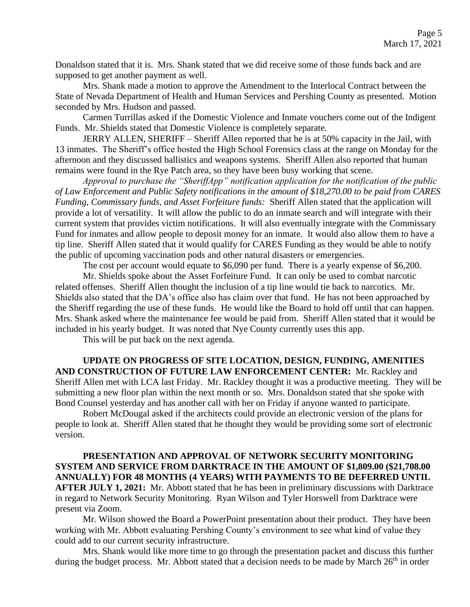Donaldson stated that it is. Mrs. Shank stated that we did receive some of those funds back and are supposed to get another payment as well.

Mrs. Shank made a motion to approve the Amendment to the Interlocal Contract between the State of Nevada Department of Health and Human Services and Pershing County as presented. Motion seconded by Mrs. Hudson and passed.

Carmen Turrillas asked if the Domestic Violence and Inmate vouchers come out of the Indigent Funds. Mr. Shields stated that Domestic Violence is completely separate.

 JERRY ALLEN, SHERIFF – Sheriff Allen reported that he is at 50% capacity in the Jail, with 13 inmates. The Sheriff's office hosted the High School Forensics class at the range on Monday for the afternoon and they discussed ballistics and weapons systems. Sheriff Allen also reported that human remains were found in the Rye Patch area, so they have been busy working that scene.

*Approval to purchase the "SheriffApp" notification application for the notification of the public of Law Enforcement and Public Safety notifications in the amount of \$18,270.00 to be paid from CARES Funding, Commissary funds, and Asset Forfeiture funds:* Sheriff Allen stated that the application will provide a lot of versatility. It will allow the public to do an inmate search and will integrate with their current system that provides victim notifications. It will also eventually integrate with the Commissary Fund for inmates and allow people to deposit money for an inmate. It would also allow them to have a tip line. Sheriff Allen stated that it would qualify for CARES Funding as they would be able to notify the public of upcoming vaccination pods and other natural disasters or emergencies.

The cost per account would equate to \$6,090 per fund. There is a yearly expense of \$6,200.

Mr. Shields spoke about the Asset Forfeiture Fund. It can only be used to combat narcotic related offenses. Sheriff Allen thought the inclusion of a tip line would tie back to narcotics. Mr. Shields also stated that the DA's office also has claim over that fund. He has not been approached by the Sheriff regarding the use of these funds. He would like the Board to hold off until that can happen. Mrs. Shank asked where the maintenance fee would be paid from. Sheriff Allen stated that it would be included in his yearly budget. It was noted that Nye County currently uses this app.

This will be put back on the next agenda.

**UPDATE ON PROGRESS OF SITE LOCATION, DESIGN, FUNDING, AMENITIES AND CONSTRUCTION OF FUTURE LAW ENFORCEMENT CENTER:** Mr. Rackley and Sheriff Allen met with LCA last Friday. Mr. Rackley thought it was a productive meeting. They will be submitting a new floor plan within the next month or so. Mrs. Donaldson stated that she spoke with Bond Counsel yesterday and has another call with her on Friday if anyone wanted to participate.

Robert McDougal asked if the architects could provide an electronic version of the plans for people to look at. Sheriff Allen stated that he thought they would be providing some sort of electronic version.

**PRESENTATION AND APPROVAL OF NETWORK SECURITY MONITORING SYSTEM AND SERVICE FROM DARKTRACE IN THE AMOUNT OF \$1,809.00 (\$21,708.00 ANNUALLY) FOR 48 MONTHS (4 YEARS) WITH PAYMENTS TO BE DEFERRED UNTIL AFTER JULY 1, 2021:** Mr. Abbott stated that he has been in preliminary discussions with Darktrace in regard to Network Security Monitoring. Ryan Wilson and Tyler Horswell from Darktrace were present via Zoom.

Mr. Wilson showed the Board a PowerPoint presentation about their product. They have been working with Mr. Abbott evaluating Pershing County's environment to see what kind of value they could add to our current security infrastructure.

Mrs. Shank would like more time to go through the presentation packet and discuss this further during the budget process. Mr. Abbott stated that a decision needs to be made by March  $26<sup>th</sup>$  in order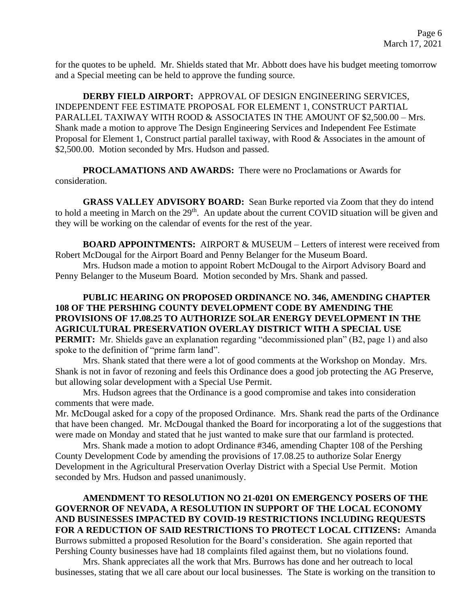for the quotes to be upheld. Mr. Shields stated that Mr. Abbott does have his budget meeting tomorrow and a Special meeting can be held to approve the funding source.

**DERBY FIELD AIRPORT:** APPROVAL OF DESIGN ENGINEERING SERVICES, INDEPENDENT FEE ESTIMATE PROPOSAL FOR ELEMENT 1, CONSTRUCT PARTIAL PARALLEL TAXIWAY WITH ROOD & ASSOCIATES IN THE AMOUNT OF \$2,500.00 – Mrs. Shank made a motion to approve The Design Engineering Services and Independent Fee Estimate Proposal for Element 1, Construct partial parallel taxiway, with Rood & Associates in the amount of \$2,500.00. Motion seconded by Mrs. Hudson and passed.

**PROCLAMATIONS AND AWARDS:** There were no Proclamations or Awards for consideration.

**GRASS VALLEY ADVISORY BOARD:** Sean Burke reported via Zoom that they do intend to hold a meeting in March on the  $29<sup>th</sup>$ . An update about the current COVID situation will be given and they will be working on the calendar of events for the rest of the year.

**BOARD APPOINTMENTS:** AIRPORT & MUSEUM – Letters of interest were received from Robert McDougal for the Airport Board and Penny Belanger for the Museum Board.

Mrs. Hudson made a motion to appoint Robert McDougal to the Airport Advisory Board and Penny Belanger to the Museum Board. Motion seconded by Mrs. Shank and passed.

# **PUBLIC HEARING ON PROPOSED ORDINANCE NO. 346, AMENDING CHAPTER 108 OF THE PERSHING COUNTY DEVELOPMENT CODE BY AMENDING THE PROVISIONS OF 17.08.25 TO AUTHORIZE SOLAR ENERGY DEVELOPMENT IN THE AGRICULTURAL PRESERVATION OVERLAY DISTRICT WITH A SPECIAL USE**

**PERMIT:** Mr. Shields gave an explanation regarding "decommissioned plan" (B2, page 1) and also spoke to the definition of "prime farm land".

Mrs. Shank stated that there were a lot of good comments at the Workshop on Monday. Mrs. Shank is not in favor of rezoning and feels this Ordinance does a good job protecting the AG Preserve, but allowing solar development with a Special Use Permit.

Mrs. Hudson agrees that the Ordinance is a good compromise and takes into consideration comments that were made.

Mr. McDougal asked for a copy of the proposed Ordinance. Mrs. Shank read the parts of the Ordinance that have been changed. Mr. McDougal thanked the Board for incorporating a lot of the suggestions that were made on Monday and stated that he just wanted to make sure that our farmland is protected.

Mrs. Shank made a motion to adopt Ordinance #346, amending Chapter 108 of the Pershing County Development Code by amending the provisions of 17.08.25 to authorize Solar Energy Development in the Agricultural Preservation Overlay District with a Special Use Permit. Motion seconded by Mrs. Hudson and passed unanimously.

**AMENDMENT TO RESOLUTION NO 21-0201 ON EMERGENCY POSERS OF THE GOVERNOR OF NEVADA, A RESOLUTION IN SUPPORT OF THE LOCAL ECONOMY AND BUSINESSES IMPACTED BY COVID-19 RESTRICTIONS INCLUDING REQUESTS FOR A REDUCTION OF SAID RESTRICTIONS TO PROTECT LOCAL CITIZENS:** Amanda Burrows submitted a proposed Resolution for the Board's consideration. She again reported that Pershing County businesses have had 18 complaints filed against them, but no violations found.

Mrs. Shank appreciates all the work that Mrs. Burrows has done and her outreach to local businesses, stating that we all care about our local businesses. The State is working on the transition to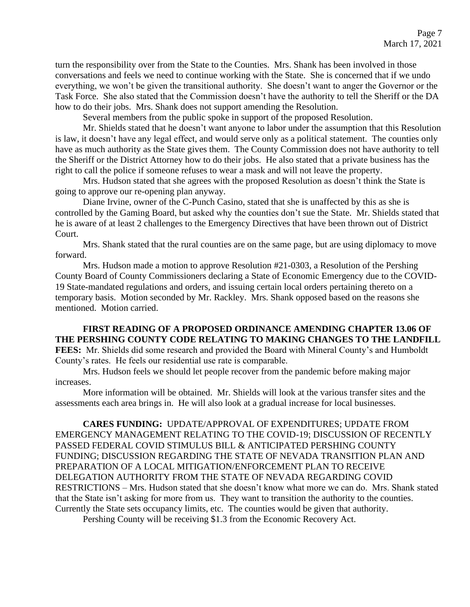turn the responsibility over from the State to the Counties. Mrs. Shank has been involved in those conversations and feels we need to continue working with the State. She is concerned that if we undo everything, we won't be given the transitional authority. She doesn't want to anger the Governor or the Task Force. She also stated that the Commission doesn't have the authority to tell the Sheriff or the DA how to do their jobs. Mrs. Shank does not support amending the Resolution.

Several members from the public spoke in support of the proposed Resolution.

Mr. Shields stated that he doesn't want anyone to labor under the assumption that this Resolution is law, it doesn't have any legal effect, and would serve only as a political statement. The counties only have as much authority as the State gives them. The County Commission does not have authority to tell the Sheriff or the District Attorney how to do their jobs. He also stated that a private business has the right to call the police if someone refuses to wear a mask and will not leave the property.

Mrs. Hudson stated that she agrees with the proposed Resolution as doesn't think the State is going to approve our re-opening plan anyway.

Diane Irvine, owner of the C-Punch Casino, stated that she is unaffected by this as she is controlled by the Gaming Board, but asked why the counties don't sue the State. Mr. Shields stated that he is aware of at least 2 challenges to the Emergency Directives that have been thrown out of District Court.

Mrs. Shank stated that the rural counties are on the same page, but are using diplomacy to move forward.

Mrs. Hudson made a motion to approve Resolution #21-0303, a Resolution of the Pershing County Board of County Commissioners declaring a State of Economic Emergency due to the COVID-19 State-mandated regulations and orders, and issuing certain local orders pertaining thereto on a temporary basis. Motion seconded by Mr. Rackley. Mrs. Shank opposed based on the reasons she mentioned. Motion carried.

**FIRST READING OF A PROPOSED ORDINANCE AMENDING CHAPTER 13.06 OF THE PERSHING COUNTY CODE RELATING TO MAKING CHANGES TO THE LANDFILL FEES:** Mr. Shields did some research and provided the Board with Mineral County's and Humboldt County's rates. He feels our residential use rate is comparable.

Mrs. Hudson feels we should let people recover from the pandemic before making major increases.

More information will be obtained. Mr. Shields will look at the various transfer sites and the assessments each area brings in. He will also look at a gradual increase for local businesses.

**CARES FUNDING:** UPDATE/APPROVAL OF EXPENDITURES; UPDATE FROM EMERGENCY MANAGEMENT RELATING TO THE COVID-19; DISCUSSION OF RECENTLY PASSED FEDERAL COVID STIMULUS BILL & ANTICIPATED PERSHING COUNTY FUNDING; DISCUSSION REGARDING THE STATE OF NEVADA TRANSITION PLAN AND PREPARATION OF A LOCAL MITIGATION/ENFORCEMENT PLAN TO RECEIVE DELEGATION AUTHORITY FROM THE STATE OF NEVADA REGARDING COVID RESTRICTIONS – Mrs. Hudson stated that she doesn't know what more we can do. Mrs. Shank stated that the State isn't asking for more from us. They want to transition the authority to the counties. Currently the State sets occupancy limits, etc. The counties would be given that authority.

Pershing County will be receiving \$1.3 from the Economic Recovery Act.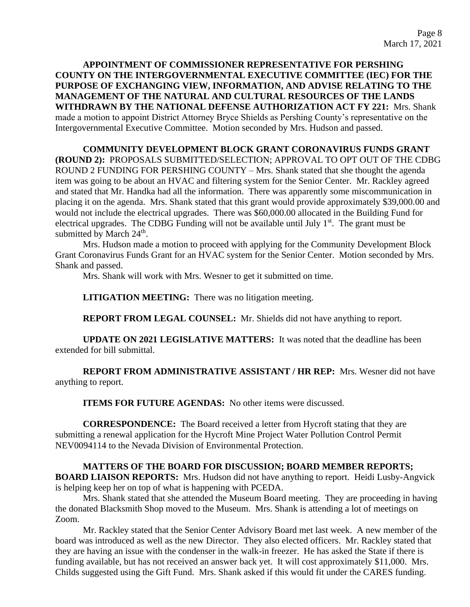**APPOINTMENT OF COMMISSIONER REPRESENTATIVE FOR PERSHING COUNTY ON THE INTERGOVERNMENTAL EXECUTIVE COMMITTEE (IEC) FOR THE PURPOSE OF EXCHANGING VIEW, INFORMATION, AND ADVISE RELATING TO THE MANAGEMENT OF THE NATURAL AND CULTURAL RESOURCES OF THE LANDS WITHDRAWN BY THE NATIONAL DEFENSE AUTHORIZATION ACT FY 221:** Mrs. Shank made a motion to appoint District Attorney Bryce Shields as Pershing County's representative on the Intergovernmental Executive Committee. Motion seconded by Mrs. Hudson and passed.

**COMMUNITY DEVELOPMENT BLOCK GRANT CORONAVIRUS FUNDS GRANT (ROUND 2):** PROPOSALS SUBMITTED/SELECTION; APPROVAL TO OPT OUT OF THE CDBG ROUND 2 FUNDING FOR PERSHING COUNTY – Mrs. Shank stated that she thought the agenda item was going to be about an HVAC and filtering system for the Senior Center. Mr. Rackley agreed and stated that Mr. Handka had all the information. There was apparently some miscommunication in placing it on the agenda. Mrs. Shank stated that this grant would provide approximately \$39,000.00 and would not include the electrical upgrades. There was \$60,000.00 allocated in the Building Fund for electrical upgrades. The CDBG Funding will not be available until July  $1<sup>st</sup>$ . The grant must be submitted by March  $24<sup>th</sup>$ .

Mrs. Hudson made a motion to proceed with applying for the Community Development Block Grant Coronavirus Funds Grant for an HVAC system for the Senior Center. Motion seconded by Mrs. Shank and passed.

Mrs. Shank will work with Mrs. Wesner to get it submitted on time.

**LITIGATION MEETING:** There was no litigation meeting.

**REPORT FROM LEGAL COUNSEL:** Mr. Shields did not have anything to report.

**UPDATE ON 2021 LEGISLATIVE MATTERS:** It was noted that the deadline has been extended for bill submittal.

**REPORT FROM ADMINISTRATIVE ASSISTANT / HR REP:** Mrs. Wesner did not have anything to report.

**ITEMS FOR FUTURE AGENDAS:** No other items were discussed.

**CORRESPONDENCE:** The Board received a letter from Hycroft stating that they are submitting a renewal application for the Hycroft Mine Project Water Pollution Control Permit NEV0094114 to the Nevada Division of Environmental Protection.

# **MATTERS OF THE BOARD FOR DISCUSSION; BOARD MEMBER REPORTS;**

**BOARD LIAISON REPORTS:** Mrs. Hudson did not have anything to report. Heidi Lusby-Angvick is helping keep her on top of what is happening with PCEDA.

Mrs. Shank stated that she attended the Museum Board meeting. They are proceeding in having the donated Blacksmith Shop moved to the Museum. Mrs. Shank is attending a lot of meetings on Zoom.

Mr. Rackley stated that the Senior Center Advisory Board met last week. A new member of the board was introduced as well as the new Director. They also elected officers. Mr. Rackley stated that they are having an issue with the condenser in the walk-in freezer. He has asked the State if there is funding available, but has not received an answer back yet. It will cost approximately \$11,000. Mrs. Childs suggested using the Gift Fund. Mrs. Shank asked if this would fit under the CARES funding.